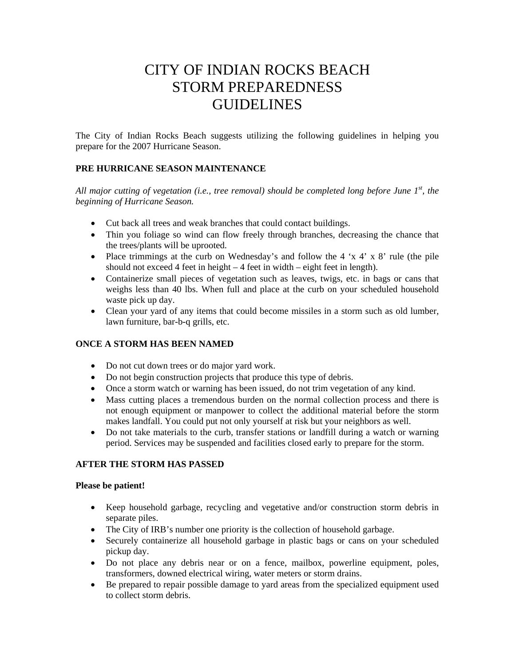# CITY OF INDIAN ROCKS BEACH STORM PREPAREDNESS GUIDELINES

The City of Indian Rocks Beach suggests utilizing the following guidelines in helping you prepare for the 2007 Hurricane Season.

# **PRE HURRICANE SEASON MAINTENANCE**

*All major cutting of vegetation (i.e., tree removal) should be completed long before June 1st, the beginning of Hurricane Season.* 

- Cut back all trees and weak branches that could contact buildings.
- Thin you foliage so wind can flow freely through branches, decreasing the chance that the trees/plants will be uprooted.
- Place trimmings at the curb on Wednesday's and follow the  $4 \times 4' \times 8'$  rule (the pile should not exceed 4 feet in height – 4 feet in width – eight feet in length).
- Containerize small pieces of vegetation such as leaves, twigs, etc. in bags or cans that weighs less than 40 lbs. When full and place at the curb on your scheduled household waste pick up day.
- Clean your yard of any items that could become missiles in a storm such as old lumber, lawn furniture, bar-b-q grills, etc.

# **ONCE A STORM HAS BEEN NAMED**

- Do not cut down trees or do major yard work.
- Do not begin construction projects that produce this type of debris.
- Once a storm watch or warning has been issued, do not trim vegetation of any kind.
- Mass cutting places a tremendous burden on the normal collection process and there is not enough equipment or manpower to collect the additional material before the storm makes landfall. You could put not only yourself at risk but your neighbors as well.
- Do not take materials to the curb, transfer stations or landfill during a watch or warning period. Services may be suspended and facilities closed early to prepare for the storm.

# **AFTER THE STORM HAS PASSED**

## **Please be patient!**

- Keep household garbage, recycling and vegetative and/or construction storm debris in separate piles.
- The City of IRB's number one priority is the collection of household garbage.
- Securely containerize all household garbage in plastic bags or cans on your scheduled pickup day.
- Do not place any debris near or on a fence, mailbox, powerline equipment, poles, transformers, downed electrical wiring, water meters or storm drains.
- Be prepared to repair possible damage to yard areas from the specialized equipment used to collect storm debris.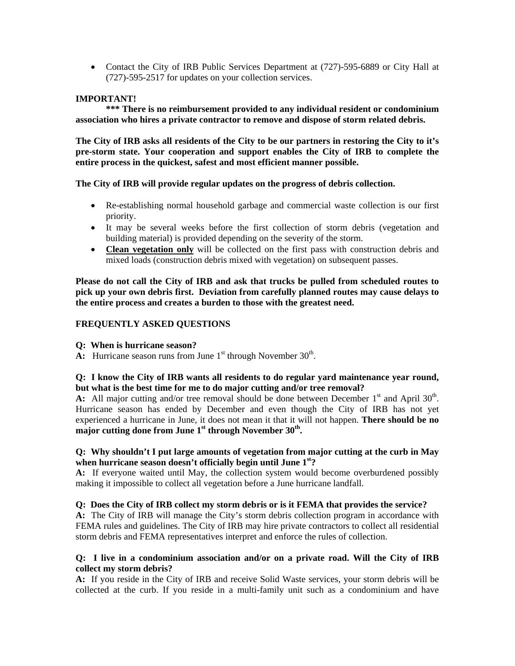• Contact the City of IRB Public Services Department at (727)-595-6889 or City Hall at (727)-595-2517 for updates on your collection services.

#### **IMPORTANT!**

 **\*\*\* There is no reimbursement provided to any individual resident or condominium association who hires a private contractor to remove and dispose of storm related debris.** 

**The City of IRB asks all residents of the City to be our partners in restoring the City to it's pre-storm state. Your cooperation and support enables the City of IRB to complete the entire process in the quickest, safest and most efficient manner possible.** 

#### **The City of IRB will provide regular updates on the progress of debris collection.**

- Re-establishing normal household garbage and commercial waste collection is our first priority.
- It may be several weeks before the first collection of storm debris (vegetation and building material) is provided depending on the severity of the storm.
- **Clean vegetation only** will be collected on the first pass with construction debris and mixed loads (construction debris mixed with vegetation) on subsequent passes.

**Please do not call the City of IRB and ask that trucks be pulled from scheduled routes to pick up your own debris first. Deviation from carefully planned routes may cause delays to the entire process and creates a burden to those with the greatest need.** 

#### **FREQUENTLY ASKED QUESTIONS**

- **Q: When is hurricane season?**
- **A:** Hurricane season runs from June  $1<sup>st</sup>$  through November  $30<sup>th</sup>$ .

## **Q: I know the City of IRB wants all residents to do regular yard maintenance year round, but what is the best time for me to do major cutting and/or tree removal?**

**A:** All major cutting and/or tree removal should be done between December  $1<sup>st</sup>$  and April 30<sup>th</sup>. Hurricane season has ended by December and even though the City of IRB has not yet experienced a hurricane in June, it does not mean it that it will not happen. **There should be no**  major cutting done from June 1<sup>st</sup> through November 30<sup>th</sup>.

## **Q: Why shouldn't I put large amounts of vegetation from major cutting at the curb in May when hurricane season doesn't officially begin until June 1st?**

**A:** If everyone waited until May, the collection system would become overburdened possibly making it impossible to collect all vegetation before a June hurricane landfall.

#### **Q: Does the City of IRB collect my storm debris or is it FEMA that provides the service?**

**A:** The City of IRB will manage the City's storm debris collection program in accordance with FEMA rules and guidelines. The City of IRB may hire private contractors to collect all residential storm debris and FEMA representatives interpret and enforce the rules of collection.

#### **Q: I live in a condominium association and/or on a private road. Will the City of IRB collect my storm debris?**

**A:** If you reside in the City of IRB and receive Solid Waste services, your storm debris will be collected at the curb. If you reside in a multi-family unit such as a condominium and have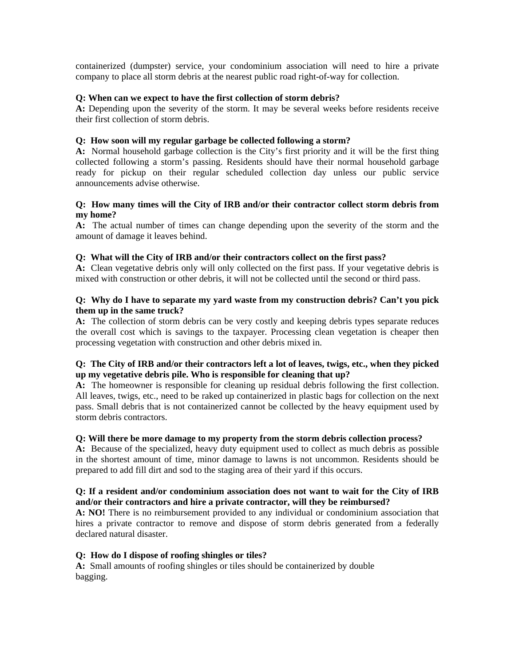containerized (dumpster) service, your condominium association will need to hire a private company to place all storm debris at the nearest public road right-of-way for collection.

#### **Q: When can we expect to have the first collection of storm debris?**

**A:** Depending upon the severity of the storm. It may be several weeks before residents receive their first collection of storm debris.

#### **Q: How soon will my regular garbage be collected following a storm?**

**A:** Normal household garbage collection is the City's first priority and it will be the first thing collected following a storm's passing. Residents should have their normal household garbage ready for pickup on their regular scheduled collection day unless our public service announcements advise otherwise.

#### **Q: How many times will the City of IRB and/or their contractor collect storm debris from my home?**

**A:** The actual number of times can change depending upon the severity of the storm and the amount of damage it leaves behind.

## **Q: What will the City of IRB and/or their contractors collect on the first pass?**

**A:** Clean vegetative debris only will only collected on the first pass. If your vegetative debris is mixed with construction or other debris, it will not be collected until the second or third pass.

### **Q: Why do I have to separate my yard waste from my construction debris? Can't you pick them up in the same truck?**

**A:** The collection of storm debris can be very costly and keeping debris types separate reduces the overall cost which is savings to the taxpayer. Processing clean vegetation is cheaper then processing vegetation with construction and other debris mixed in.

## **Q: The City of IRB and/or their contractors left a lot of leaves, twigs, etc., when they picked up my vegetative debris pile. Who is responsible for cleaning that up?**

**A:** The homeowner is responsible for cleaning up residual debris following the first collection. All leaves, twigs, etc., need to be raked up containerized in plastic bags for collection on the next pass. Small debris that is not containerized cannot be collected by the heavy equipment used by storm debris contractors.

#### **Q: Will there be more damage to my property from the storm debris collection process?**

**A:** Because of the specialized, heavy duty equipment used to collect as much debris as possible in the shortest amount of time, minor damage to lawns is not uncommon. Residents should be prepared to add fill dirt and sod to the staging area of their yard if this occurs.

## **Q: If a resident and/or condominium association does not want to wait for the City of IRB and/or their contractors and hire a private contractor, will they be reimbursed?**

**A: NO!** There is no reimbursement provided to any individual or condominium association that hires a private contractor to remove and dispose of storm debris generated from a federally declared natural disaster.

#### **Q: How do I dispose of roofing shingles or tiles?**

**A:** Small amounts of roofing shingles or tiles should be containerized by double bagging.